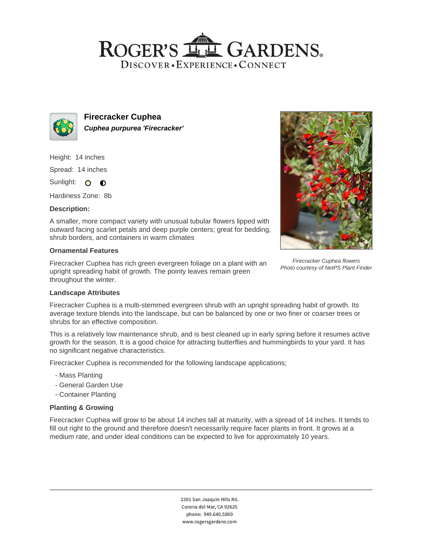## ROGER'S LL GARDENS. DISCOVER · EXPERIENCE · CONNECT



**Firecracker Cuphea Cuphea purpurea 'Firecracker'**

Height: 14 inches

Spread: 14 inches

Sunlight: O **O** 

Hardiness Zone: 8b

## **Description:**

A smaller, more compact variety with unusual tubular flowers lipped with outward facing scarlet petals and deep purple centers; great for bedding, shrub borders, and containers in warm climates

## **Ornamental Features**

Firecracker Cuphea has rich green evergreen foliage on a plant with an upright spreading habit of growth. The pointy leaves remain green throughout the winter.



Firecracker Cuphea flowers Photo courtesy of NetPS Plant Finder

#### **Landscape Attributes**

Firecracker Cuphea is a multi-stemmed evergreen shrub with an upright spreading habit of growth. Its average texture blends into the landscape, but can be balanced by one or two finer or coarser trees or shrubs for an effective composition.

This is a relatively low maintenance shrub, and is best cleaned up in early spring before it resumes active growth for the season. It is a good choice for attracting butterflies and hummingbirds to your yard. It has no significant negative characteristics.

Firecracker Cuphea is recommended for the following landscape applications;

- Mass Planting
- General Garden Use
- Container Planting

## **Planting & Growing**

Firecracker Cuphea will grow to be about 14 inches tall at maturity, with a spread of 14 inches. It tends to fill out right to the ground and therefore doesn't necessarily require facer plants in front. It grows at a medium rate, and under ideal conditions can be expected to live for approximately 10 years.

> 2301 San Joaquin Hills Rd. Corona del Mar, CA 92625 phone: 949.640.5800 www.rogersgardens.com